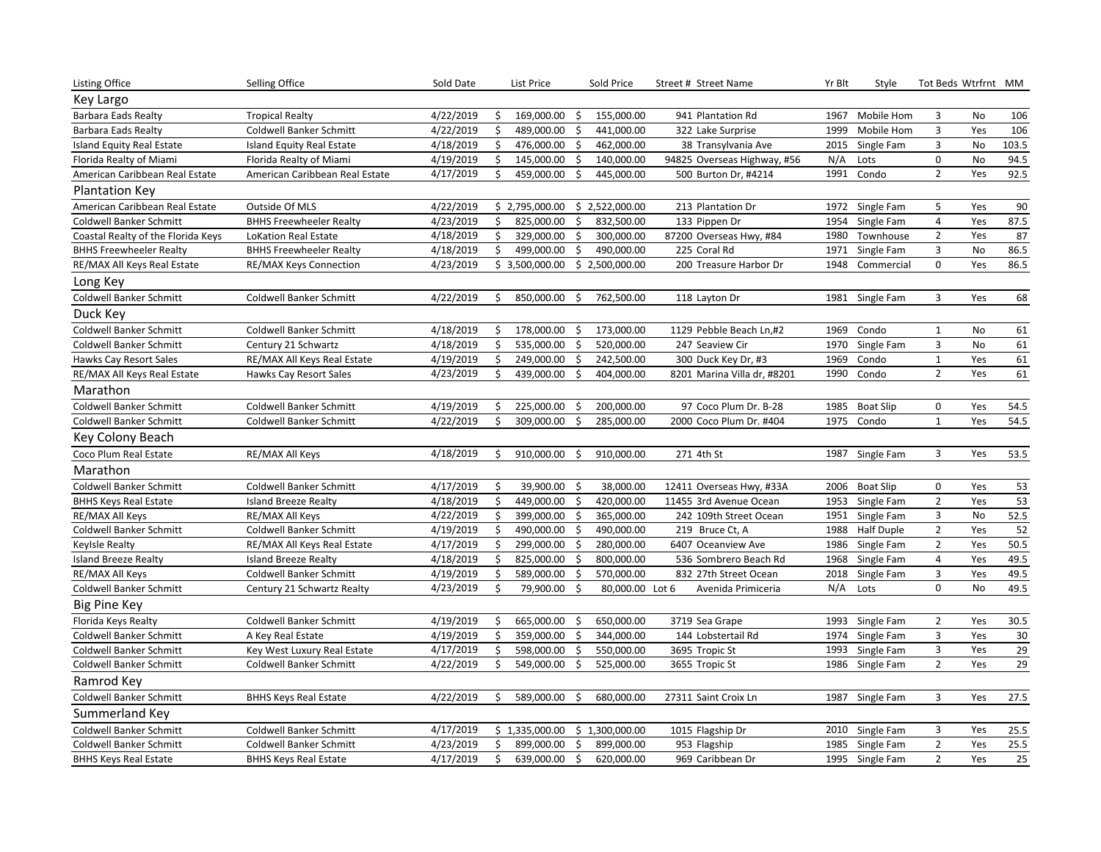| <b>Listing Office</b>              | Selling Office                 | Sold Date |              | List Price     |                     | Sold Price      | Street # Street Name        | Yr Blt | Style            | Tot Beds Wtrfrnt MM |     |       |
|------------------------------------|--------------------------------|-----------|--------------|----------------|---------------------|-----------------|-----------------------------|--------|------------------|---------------------|-----|-------|
| Key Largo                          |                                |           |              |                |                     |                 |                             |        |                  |                     |     |       |
| <b>Barbara Eads Realty</b>         | <b>Tropical Realty</b>         | 4/22/2019 | \$           | 169,000.00     | - \$                | 155,000.00      | 941 Plantation Rd           | 1967   | Mobile Hom       | 3                   | No  | 106   |
| <b>Barbara Eads Realty</b>         | <b>Coldwell Banker Schmitt</b> | 4/22/2019 | \$           | 489,000.00     | \$                  | 441,000.00      | 322 Lake Surprise           | 1999   | Mobile Hom       | $\mathbf{3}$        | Yes | 106   |
| <b>Island Equity Real Estate</b>   | Island Equity Real Estate      | 4/18/2019 | \$           | 476,000.00 \$  |                     | 462,000.00      | 38 Transylvania Ave         |        | 2015 Single Fam  | 3                   | No  | 103.5 |
| Florida Realty of Miami            | Florida Realty of Miami        | 4/19/2019 | \$           | 145,000.00     | \$                  | 140,000.00      | 94825 Overseas Highway, #56 | N/A    | Lots             | 0                   | No  | 94.5  |
| American Caribbean Real Estate     | American Caribbean Real Estate | 4/17/2019 | $\mathsf{S}$ | 459,000.00     | \$                  | 445,000.00      | 500 Burton Dr, #4214        | 1991   | Condo            | $\overline{2}$      | Yes | 92.5  |
| <b>Plantation Key</b>              |                                |           |              |                |                     |                 |                             |        |                  |                     |     |       |
| American Caribbean Real Estate     | Outside Of MLS                 | 4/22/2019 |              | \$2,795,000.00 |                     | \$2,522,000.00  | 213 Plantation Dr           |        | 1972 Single Fam  | 5                   | Yes | 90    |
| Coldwell Banker Schmitt            | <b>BHHS Freewheeler Realty</b> | 4/23/2019 | \$           | 825,000.00     | \$                  | 832,500.00      | 133 Pippen Dr               | 1954   | Single Fam       | 4                   | Yes | 87.5  |
| Coastal Realty of the Florida Keys | <b>LoKation Real Estate</b>    | 4/18/2019 | \$           | 329,000.00     | \$                  | 300,000.00      | 87200 Overseas Hwy, #84     | 1980   | Townhouse        | $\overline{2}$      | Yes | 87    |
| <b>BHHS Freewheeler Realty</b>     | <b>BHHS Freewheeler Realty</b> | 4/18/2019 | \$           | 499,000.00     | \$                  | 490,000.00      | 225 Coral Rd                | 1971   | Single Fam       | $\mathbf{3}$        | No  | 86.5  |
| RE/MAX All Keys Real Estate        | RE/MAX Keys Connection         | 4/23/2019 |              | \$3,500,000.00 |                     | \$2,500,000.00  | 200 Treasure Harbor Dr      | 1948   | Commercial       | $\Omega$            | Yes | 86.5  |
| Long Key                           |                                |           |              |                |                     |                 |                             |        |                  |                     |     |       |
| Coldwell Banker Schmitt            | Coldwell Banker Schmitt        | 4/22/2019 | Ś.           | 850,000.00     | \$                  | 762,500.00      | 118 Layton Dr               | 1981   | Single Fam       | 3                   | Yes | 68    |
| Duck Key                           |                                |           |              |                |                     |                 |                             |        |                  |                     |     |       |
| Coldwell Banker Schmitt            | <b>Coldwell Banker Schmitt</b> | 4/18/2019 | \$           | 178,000.00     | \$                  | 173,000.00      | 1129 Pebble Beach Ln,#2     | 1969   | Condo            | $\mathbf{1}$        | No  | 61    |
| Coldwell Banker Schmitt            | Century 21 Schwartz            | 4/18/2019 | \$           | 535,000.00     | $\mathsf{\dot{S}}$  | 520,000.00      | 247 Seaview Cir             | 1970   | Single Fam       | 3                   | No  | 61    |
| Hawks Cay Resort Sales             | RE/MAX All Keys Real Estate    | 4/19/2019 | \$           | 249,000.00     | $\ddot{\mathsf{S}}$ | 242,500.00      | 300 Duck Key Dr, #3         | 1969   | Condo            | $\mathbf{1}$        | Yes | 61    |
| RE/MAX All Keys Real Estate        | Hawks Cay Resort Sales         | 4/23/2019 | \$           | 439,000.00     | \$                  | 404,000.00      | 8201 Marina Villa dr, #8201 | 1990   | Condo            | $\overline{2}$      | Yes | 61    |
| Marathon                           |                                |           |              |                |                     |                 |                             |        |                  |                     |     |       |
| Coldwell Banker Schmitt            | Coldwell Banker Schmitt        | 4/19/2019 | \$           | 225,000.00     | \$                  | 200,000.00      | 97 Coco Plum Dr. B-28       | 1985   | <b>Boat Slip</b> | $\mathbf 0$         | Yes | 54.5  |
| Coldwell Banker Schmitt            | Coldwell Banker Schmitt        | 4/22/2019 | Ś.           | 309,000.00     | Ś.                  | 285,000.00      | 2000 Coco Plum Dr. #404     | 1975   | Condo            | $\mathbf{1}$        | Yes | 54.5  |
| Key Colony Beach                   |                                |           |              |                |                     |                 |                             |        |                  |                     |     |       |
| Coco Plum Real Estate              | RE/MAX All Keys                | 4/18/2019 | \$           | 910,000.00     | Ŝ.                  | 910,000.00      | 271 4th St                  | 1987   | Single Fam       | 3                   | Yes | 53.5  |
| Marathon                           |                                |           |              |                |                     |                 |                             |        |                  |                     |     |       |
| <b>Coldwell Banker Schmitt</b>     | Coldwell Banker Schmitt        | 4/17/2019 | \$           | 39,900.00      | -\$                 | 38,000.00       | 12411 Overseas Hwy, #33A    |        | 2006 Boat Slip   | $\mathbf 0$         | Yes | 53    |
| <b>BHHS Keys Real Estate</b>       | <b>Island Breeze Realty</b>    | 4/18/2019 | \$           | 449,000.00     | \$                  | 420,000.00      | 11455 3rd Avenue Ocean      |        | 1953 Single Fam  | $\overline{2}$      | Yes | 53    |
| RE/MAX All Keys                    | RE/MAX All Keys                | 4/22/2019 | \$           | 399,000.00 \$  |                     | 365,000.00      | 242 109th Street Ocean      | 1951   | Single Fam       | $\mathbf{3}$        | No  | 52.5  |
| Coldwell Banker Schmitt            | Coldwell Banker Schmitt        | 4/19/2019 | \$           | 490,000.00     | \$                  | 490,000.00      | 219 Bruce Ct, A             |        | 1988 Half Duple  | $\overline{2}$      | Yes | 52    |
| Keylsle Realty                     | RE/MAX All Keys Real Estate    | 4/17/2019 | \$           | 299,000.00     | $\ddot{\mathsf{S}}$ | 280,000.00      | 6407 Oceanview Ave          |        | 1986 Single Fam  | $\overline{2}$      | Yes | 50.5  |
| <b>Island Breeze Realty</b>        | <b>Island Breeze Realty</b>    | 4/18/2019 | \$           | 825,000.00     | \$                  | 800,000.00      | 536 Sombrero Beach Rd       |        | 1968 Single Fam  | 4                   | Yes | 49.5  |
| RE/MAX All Keys                    | <b>Coldwell Banker Schmitt</b> | 4/19/2019 | \$           | 589,000.00     | \$                  | 570,000.00      | 832 27th Street Ocean       |        | 2018 Single Fam  | 3                   | Yes | 49.5  |
| Coldwell Banker Schmitt            | Century 21 Schwartz Realty     | 4/23/2019 | \$           | 79,900.00 \$   |                     | 80,000.00 Lot 6 | Avenida Primiceria          | N/A    | Lots             | 0                   | No  | 49.5  |
| <b>Big Pine Key</b>                |                                |           |              |                |                     |                 |                             |        |                  |                     |     |       |
| Florida Keys Realty                | <b>Coldwell Banker Schmitt</b> | 4/19/2019 | \$           | 665,000.00 \$  |                     | 650,000.00      | 3719 Sea Grape              |        | 1993 Single Fam  | $\overline{2}$      | Yes | 30.5  |
| Coldwell Banker Schmitt            | A Key Real Estate              | 4/19/2019 | \$           | 359,000.00     | $\zeta$             | 344,000.00      | 144 Lobstertail Rd          |        | 1974 Single Fam  | $\mathbf{3}$        | Yes | 30    |
| Coldwell Banker Schmitt            | Key West Luxury Real Estate    | 4/17/2019 | \$           | 598,000.00 \$  |                     | 550,000.00      | 3695 Tropic St              |        | 1993 Single Fam  | 3                   | Yes | 29    |
| Coldwell Banker Schmitt            | <b>Coldwell Banker Schmitt</b> | 4/22/2019 | Ś.           | 549,000.00     | Ŝ.                  | 525,000.00      | 3655 Tropic St              |        | 1986 Single Fam  | $\overline{2}$      | Yes | 29    |
| Ramrod Key                         |                                |           |              |                |                     |                 |                             |        |                  |                     |     |       |
| <b>Coldwell Banker Schmitt</b>     | <b>BHHS Keys Real Estate</b>   | 4/22/2019 | \$           | 589,000.00     | -\$                 | 680,000.00      | 27311 Saint Croix Ln        |        | 1987 Single Fam  | 3                   | Yes | 27.5  |
| Summerland Key                     |                                |           |              |                |                     |                 |                             |        |                  |                     |     |       |
| <b>Coldwell Banker Schmitt</b>     | <b>Coldwell Banker Schmitt</b> | 4/17/2019 |              | \$1,335,000.00 |                     | \$1,300,000.00  | 1015 Flagship Dr            | 2010   | Single Fam       | 3                   | Yes | 25.5  |
| <b>Coldwell Banker Schmitt</b>     | <b>Coldwell Banker Schmitt</b> | 4/23/2019 | Ś.           | 899,000.00     | \$                  | 899,000.00      | 953 Flagship                | 1985   | Single Fam       | $\overline{2}$      | Yes | 25.5  |
| <b>BHHS Keys Real Estate</b>       | <b>BHHS Keys Real Estate</b>   | 4/17/2019 | \$           | 639,000.00 \$  |                     | 620,000.00      | 969 Caribbean Dr            |        | 1995 Single Fam  | $\overline{2}$      | Yes | 25    |